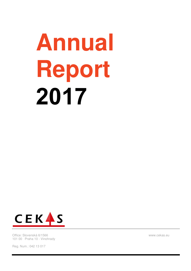# **Annual Report 2017**



Office: Slovenská 6/1566 101 00 Praha 10 - Vinohrady

Reg. Num.: 042 13 017

www.cekas.eu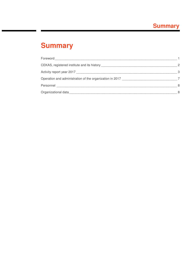# **Summary**

| <b>Foreword Example 2019</b>                             |    |
|----------------------------------------------------------|----|
|                                                          | 2  |
|                                                          | -3 |
| Operation and administration of the organization in 2017 |    |
| Personnel                                                | 8  |
| Organizational data                                      | 8  |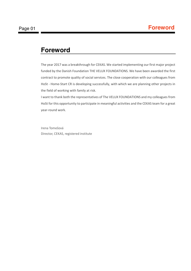## **Foreword**

The year 2017 was a breakthrough for CEKAS. We started implementing our first major project funded by the Danish Foundation THE VELUX FOUNDATIONS. We have been awarded the first contract to promote quality of social services. The close cooperation with our colleagues from HoSt - Home-Start CR is developing successfully, with which we are planning other projects in the field of working with family at risk.

I want to thank both the representatives of The VELUX FOUNDATIONS and my colleagues from HoSt for this opportunity to participate in meaningful activities and the CEKAS team for a great year-round work.

Irena Tomešová Director, CEKAS, registered institute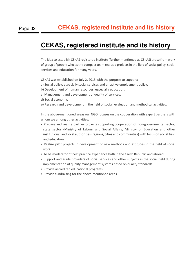# **CEKAS, registered institute and its history**

The idea to establish CEKAS registered institute (further mentioned as CEKAS) arose from work of group of people who as the compact team realized projects in the field of social policy, social services and education for many years.

CEKAS was established on July 2, 2015 with the purpose to support:

- a) Social policy, especially social services and an active employment policy,
- b) Development of human resources, especially education,
- c) Management and development of quality of services,
- d) Social economy,
- e) Research and development in the field of social, evaluation and methodical activities.

In the above-mentioned areas our NGO focuses on the cooperation with expert partners with whom we among other activities:

- Prepare and realize partner projects supporting cooperation of non-governmental sector, state sector (Ministry of Labour and Social Affairs, Ministry of Education and other institutions) and local authorities (regions, cities and communities) with focus on social field and education.
- Realize pilot projects in development of new methods and attitudes in the field of social work.
- To be moderator of best practice experience both in the Czech Republic and abroad.
- Support and guide providers of social services and other subjects in the social field during implementation of quality management systems based on quality standards.
- Provide accredited educational programs.
- Provide fundraising for the above-mentioned areas.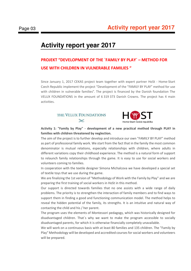# **Activity report year 2017**

## **PROJEKT "DEVELOPMENT OF THE `FAMILY BY PLAY` – METHOD FOR USE WITH CHILDREN IN VULNERABLE FAMILIES "**

Since January 1, 2017 CEKAS project team together with expert partner HoSt - Home-Start Czech Republic implement the project "Development of the "FAMILY BY PLAY" method for use with children in vulnerable families". The project is financed by the Danish foundation The VELUX FOUNDATIONS in the amount of 6 319 373 Danish Crowns. The project has 4 main activities.

### THE VELUX FOUNDATIONS  $\mathbb{X}$



**Activity 1: "Family by Play" - development of a new practical method through PLAY in families with children threatened by neglection.** 

The aim of the project is to further develop and introduce our own "FAMILY BY PLAY" method as part of professional family work. We start from the fact that in the family the most common denominator is mutual relations, especially relationships with children, where adults in different variations copy their childhood experience. The method is a natural form of support to relaunch family relationships through the game. It is easy to use for social workers and volunteers coming to families.

In cooperation with the textile designer Simona Michalcova we have developed a special set of textile toys that we use during the game.

We are finalizing the 1st version of "Methodology of Work with the Family by Play" and we are preparing the first training of social workers in HoSt in this method.

Our support is directed towards families that no one assists with a wide range of daily problems. The priority is to strengthen the interaction of family members and to find ways to support them in finding a good and functioning communication model. The method helps to reveal the hidden potential of the family, its strengths. It is an intuitive and natural way of contacting the child and his / her parent.

The program uses the elements of Montessori pedagogy, which was historically designed for disadvantaged children. That´s why we want to make the program accessible to socially disadvantaged parents, for which it is otherwise financially completely unavailable.

We will work on a continuous basis with at least 80 families and 135 children. The "Family by Play" Methodology will be developed and accredited courses for social workers and volunteers will be prepared.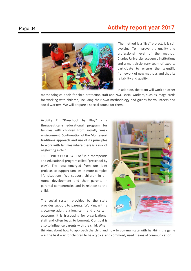## Page 04 **Activity report year 2017**



The method is a "live" project. It is still evolving. To improve the quality and professional level of the method, Charles University academic institutions and a multidisciplinary team of experts participate to ensure the scientific framework of new methods and thus its reliability and quality.

In addition, the team will work on other

methodological tools for child protection staff and NGO social workers, such as image cards for working with children, including their own methodology and guides for volunteers and social workers. We will prepare a special course for them.

Activity 2: "Preschool by Play" **therapeutically educational program for families with children from socially weak environment. Continuation of the Montessori traditions approach and use of its principles to work with families where there is a risk of neglecting a child.** 

TEP - "PRESCHOOL BY PLAY" is a therapeutic and educational program called "preschool by play". The idea emerged from our joint projects to support families in more complex life situations. We support children in allround development and their parents in parental competencies and in relation to the child.

The social system provided by the state provides support to parents. Working with a grown-up adult is a long-term and uncertain outcome, it is frustrating for organizational staff and often leads to burnout. Our goal is also to influence parents with the child. When



thinking about how to approach the child and how to communicate with her/him, the game was the best way for children to be a typical and commonly used means of communication.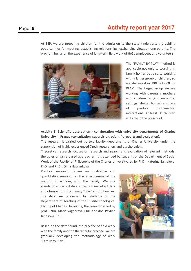## Page 05 **Activity report year 2017**

At TEP, we are preparing children for the admission to the state kindergarten, providing opportunities for meeting, establishing relationships, exchanging views among parents. The program builds on the experience of long-term field work of HoSt employees and volunteers.



The "FAMILY BY PLAY" method is applicable not only to working in family homes but also to working with a larger group of children, so we also use it in "PRE SCHOOL BY PLAY". The target group we are working with parents / mothers with children living in unnatural settings (shelter homes) and lack of positive mother-child interactions. At least 90 children will attend the preschool.

**Activity 3: Scientific observation - collaboration with university departments of Charles University in Prague (consultation, supervision, scientific reports and evaluation).** 

The research is carried out by two faculty departments of Charles University under the supervision of highly experienced Czech researchers and psychologists.

Theoretical research focuses on research and search and evaluation of relevant methods, therapies or game-based approaches. It is attended by students of the Department of Social Work of the Faculty of Philosophy of the Charles University, led by PhDr. Katerina Samalova, PhD. and PhDr. Olina Havrankova.

Practical research focuses on qualitative and quantitative research on the effectiveness of the method in working with the family. We use standardized record sheets in which we collect data and observations from every "play" visit in families. The data are processed by students of the Department of Teaching of the Hussite Theological Faculty of Charles University, the research is led by prof. RNDr. Marie Vagnerova, PhD. and doc. Pavlina Janosova, PhD.

Based on the data found, the practice of field work with the family and the therapeutic practice, we are gradually developing the methodology of work "Family by Play".

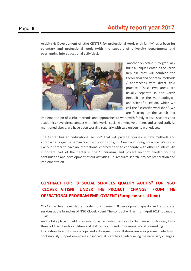## Page 06 **Activity report year 2017**

Activity 4: Development of "the CENTER for professional work with family" as a base for **voluntary and professional work (with the support of university departments and overlapping into educational activities).** 



 Another objective is to gradually build a unique Center in the Czech Republic that will combine the theoretical and scientific methods / approaches with direct field practice. These two areas are usually separate in the Czech Republic. In the methodological and scientific section, which we call the "scientific workshop", we are focusing on the search and

implementation of useful methods and approaches to work with family at risk. Students and academics have direct contact with field work - social workers, volunteers and school staff. As mentioned above, we have been working regularly with two university workplaces.

The Center has an "educational section" that will provide courses in new methods and approaches, organize seminars and workshops on good Czech and foreign practice. We would like our Center to have an international character and to cooperate with other countries. An important part of the Center is the "fundraising and project section" needed for the continuation and development of our activities, i.e. resource search, project preparation and implementation.

## **CONTRACT FOR "8 SOCIAL SERVICES QUALITY AUDITS" FOR NGO `CLOVEK V TISNI` UNDER THE PROJECT "CHANGE" FROM THE OPERATIONAL PROGRAM EMPLOYMENT (European social fund)**

CEKAS has been awarded an order to implement 8 development quality audits of social services at the branches of NGO Clovek v tisni. The contract will run from April 2018 to January 2020.

Audits take place in field programs, social activation services for families with children, low threshold facilities for children and children youth and professional social counselling.

In addition to audits, workshops and subsequent consultations are also planned, which will continuously support employees in individual branches at introducing the necessary changes.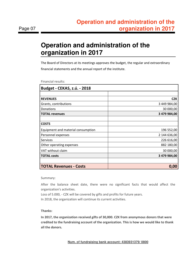# **Operation and administration of the organization in 2017**

The Board of Directors at its meetings approves the budget, the regular and extraordinary financial statements and the annual report of the institute.

Financial results:

| <b>Budget - CEKAS, z.ú. - 2018</b> |              |
|------------------------------------|--------------|
|                                    |              |
| <b>REVENUES</b>                    | <b>CZK</b>   |
| Grants, contributions              | 3 449 984,00 |
| Donations                          | 30 000,00    |
| <b>TOTAL revenues</b>              | 3 479 984,00 |
|                                    |              |
| <b>COSTS</b>                       |              |
| Equipment and material consumption | 196 552,00   |
| Personnel expenses                 | 2 144 636,00 |
| Services                           | 226 616,00   |
| Other operating expenses           | 882 180,00   |
| VAT without claim                  | 30 000,00    |
| <b>TOTAL costs</b>                 | 3 479 984,00 |
|                                    |              |
| <b>TOTAL Revenues - Costs</b>      | 0,00         |

Summary:

After the balance sheet date, there were no significant facts that would affect the organization's activities.

Loss of 5.000, - CZK will be covered by gifts and profits for future years.

In 2018, the organization will continue its current activities.

#### **Thanks:**

**In 2017, the organization received gifts of 30,000. CZK from anonymous donors that were credited to the fundraising account of the organization. This is how we would like to thank all the donors.** 

**Num. of fundraising bank account: 4383931379/ 0800**